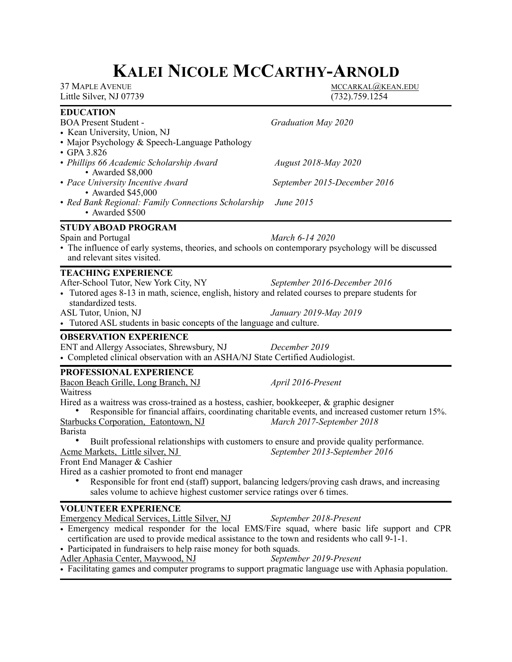# **KALEI NICOLE MCCARTHY-ARNOLD**

| <b>37 MAPLE AVENUE</b><br>Little Silver, NJ 07739                                                                                                                                                                                                                                                                                                                                                                                                                                                                                                                                                                                       | MCCARKAL@KEAN.EDU<br>$(732)$ . 759. 1254                                                                                                                                                  |
|-----------------------------------------------------------------------------------------------------------------------------------------------------------------------------------------------------------------------------------------------------------------------------------------------------------------------------------------------------------------------------------------------------------------------------------------------------------------------------------------------------------------------------------------------------------------------------------------------------------------------------------------|-------------------------------------------------------------------------------------------------------------------------------------------------------------------------------------------|
| <b>EDUCATION</b><br><b>BOA Present Student -</b><br>• Kean University, Union, NJ<br>• Major Psychology & Speech-Language Pathology<br>$\cdot$ GPA 3.826                                                                                                                                                                                                                                                                                                                                                                                                                                                                                 | Graduation May 2020                                                                                                                                                                       |
| • Phillips 66 Academic Scholarship Award<br>· Awarded \$8,000                                                                                                                                                                                                                                                                                                                                                                                                                                                                                                                                                                           | <b>August 2018-May 2020</b>                                                                                                                                                               |
| • Pace University Incentive Award<br>• Awarded \$45,000                                                                                                                                                                                                                                                                                                                                                                                                                                                                                                                                                                                 | September 2015-December 2016                                                                                                                                                              |
| • Red Bank Regional: Family Connections Scholarship<br>• Awarded \$500                                                                                                                                                                                                                                                                                                                                                                                                                                                                                                                                                                  | June 2015                                                                                                                                                                                 |
| <b>STUDY ABOAD PROGRAM</b><br>Spain and Portugal<br>• The influence of early systems, theories, and schools on contemporary psychology will be discussed<br>and relevant sites visited.                                                                                                                                                                                                                                                                                                                                                                                                                                                 | March 6-14 2020                                                                                                                                                                           |
| <b>TEACHING EXPERIENCE</b><br>After-School Tutor, New York City, NY<br>• Tutored ages 8-13 in math, science, english, history and related courses to prepare students for<br>standardized tests.<br>ASL Tutor, Union, NJ<br>• Tutored ASL students in basic concepts of the language and culture.                                                                                                                                                                                                                                                                                                                                       | September 2016-December 2016<br>January 2019-May 2019                                                                                                                                     |
| <b>OBSERVATION EXPERIENCE</b><br>ENT and Allergy Associates, Shrewsbury, NJ<br>• Completed clinical observation with an ASHA/NJ State Certified Audiologist.                                                                                                                                                                                                                                                                                                                                                                                                                                                                            | December 2019                                                                                                                                                                             |
| PROFESSIONAL EXPERIENCE<br>Bacon Beach Grille, Long Branch, NJ<br>Waitress<br>Hired as a waitress was cross-trained as a hostess, cashier, bookkeeper, $\&$ graphic designer<br><b>Starbucks Corporation, Eatontown, NJ</b><br>Barista<br>Built professional relationships with customers to ensure and provide quality performance.<br>Acme Markets, Little silver, NJ<br>Front End Manager & Cashier<br>Hired as a cashier promoted to front end manager<br>Responsible for front end (staff) support, balancing ledgers/proving cash draws, and increasing<br>sales volume to achieve highest customer service ratings over 6 times. | April 2016-Present<br>Responsible for financial affairs, coordinating charitable events, and increased customer return 15%.<br>March 2017-September 2018<br>September 2013-September 2016 |
| <b>VOLUNTEER EXPERIENCE</b><br><b>Emergency Medical Services, Little Silver, NJ</b><br>• Emergency medical responder for the local EMS/Fire squad, where basic life support and CPR<br>certification are used to provide medical assistance to the town and residents who call 9-1-1.<br>• Participated in fundraisers to help raise money for both squads.<br>Adler Aphasia Center, Maywood, NJ<br>• Facilitating games and computer programs to support pragmatic language use with Aphasia population.                                                                                                                               | September 2018-Present<br>September 2019-Present                                                                                                                                          |